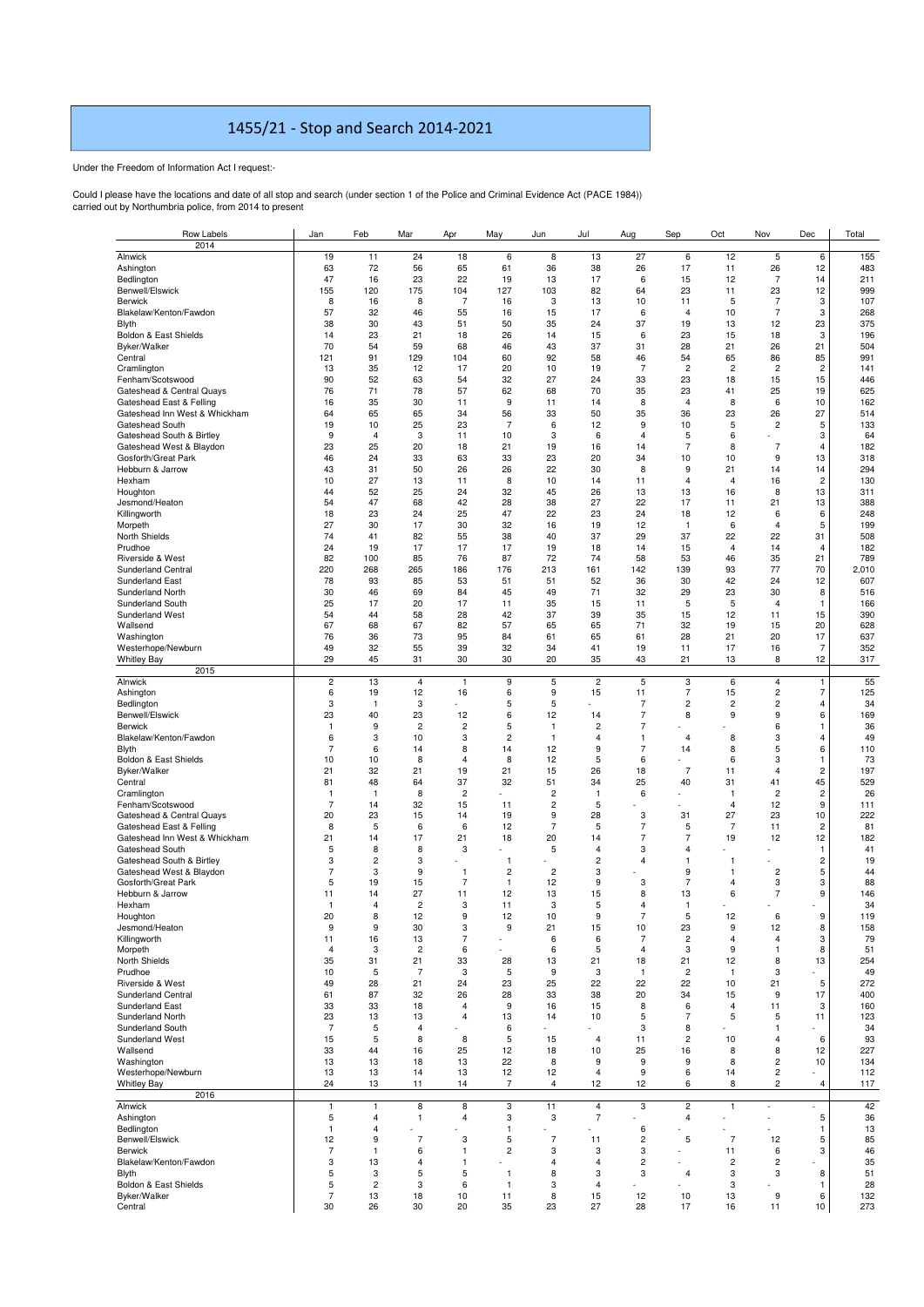## 1455/21 - Stop and Search 2014-2021

Under the Freedom of Information Act I request:-

Could I please have the locations and date of all stop and search (under section 1 of the Police and Criminal Evidence Act (PACE 1984)) carried out by Northumbria police, from 2014 to present

| Row Labels                                      | Jan                | Feb                  | Mar                  | Apr                           | May            | Jun                     | Jul                          | Aug                  | Sep                 | Oct                     | Nov                      | Dec                 | Total      |
|-------------------------------------------------|--------------------|----------------------|----------------------|-------------------------------|----------------|-------------------------|------------------------------|----------------------|---------------------|-------------------------|--------------------------|---------------------|------------|
| 2014                                            |                    |                      |                      |                               |                |                         |                              |                      |                     |                         |                          |                     |            |
| Alnwick                                         | 19                 | 11                   | 24                   | 18                            | 6              | 8                       | 13                           | 27                   | 6                   | 12                      | 5                        | 6                   | 155        |
| Ashington                                       | 63                 | 72                   | 56                   | 65                            | 61             | 36                      | 38                           | 26                   | 17                  | 11                      | 26                       | 12                  | 483        |
| Bedlington                                      | 47                 | 16                   | 23                   | 22                            | 19             | 13                      | 17                           | 6                    | 15                  | 12                      | $\overline{7}$           | 14                  | 211        |
| Benwell/Elswick<br>Berwick                      | 155<br>8           | 120<br>16            | 175<br>8             | 104<br>$\overline{7}$         | 127<br>16      | 103<br>3                | 82<br>13                     | 64<br>10             | 23<br>11            | 11<br>5                 | 23<br>$\overline{7}$     | 12<br>3             | 999<br>107 |
| Blakelaw/Kenton/Fawdon                          | 57                 | 32                   | 46                   | 55                            | 16             | 15                      | 17                           | 6                    | $\overline{4}$      | 10                      | $\overline{7}$           | 3                   | 268        |
| Blyth                                           | 38                 | 30                   | 43                   | 51                            | 50             | 35                      | 24                           | 37                   | 19                  | 13                      | 12                       | 23                  | 375        |
| Boldon & East Shields                           | 14                 | 23                   | 21                   | 18                            | 26             | 14                      | 15                           | 6                    | 23                  | 15                      | 18                       | 3                   | 196        |
| Byker/Walker                                    | 70                 | 54                   | 59                   | 68                            | 46             | 43                      | 37                           | 31                   | 28                  | 21                      | 26                       | 21                  | 504        |
| Central                                         | 121                | 91                   | 129                  | 104                           | 60             | 92                      | 58                           | 46                   | 54                  | 65                      | 86                       | 85                  | 991        |
| Cramlington                                     | 13                 | 35                   | 12                   | 17                            | 20             | 10                      | 19                           | 7                    | $\overline{c}$      | $\overline{\mathbf{c}}$ | $\overline{\mathbf{c}}$  | $\overline{c}$      | 141        |
| Fenham/Scotswood                                | 90                 | 52                   | 63                   | 54                            | 32             | 27                      | 24                           | 33                   | 23                  | 18                      | 15                       | 15                  | 446        |
| Gateshead & Central Quays                       | 76                 | 71                   | 78                   | 57                            | 62             | 68                      | 70                           | 35                   | 23                  | 41                      | 25                       | 19                  | 625        |
| Gateshead East & Felling                        | 16                 | 35                   | 30                   | 11                            | 9              | 11                      | 14                           | 8                    | $\overline{4}$      | 8                       | 6                        | 10                  | 162        |
| Gateshead Inn West & Whickham                   | 64                 | 65                   | 65                   | 34                            | 56             | 33                      | 50                           | 35                   | 36                  | 23                      | 26                       | 27                  | 514        |
| Gateshead South                                 | 19                 | 10                   | 25                   | 23                            | 7              | 6                       | 12                           | 9                    | 10                  | 5                       | $\overline{\mathbf{c}}$  | 5                   | 133        |
| Gateshead South & Birtley                       | 9<br>23            | $\overline{4}$<br>25 | 3<br>20              | 11<br>18                      | 10             | 3<br>19                 | 6                            | $\overline{4}$<br>14 | 5<br>$\overline{7}$ | 6<br>8                  | $\overline{7}$           | 3<br>$\overline{4}$ | 64         |
| Gateshead West & Blaydon<br>Gosforth/Great Park | 46                 | 24                   | 33                   | 63                            | 21<br>33       | 23                      | 16<br>20                     | 34                   | 10                  | 10                      | 9                        | 13                  | 182<br>318 |
| Hebburn & Jarrow                                | 43                 | 31                   | 50                   | 26                            | 26             | 22                      | 30                           | 8                    | 9                   | 21                      | 14                       | 14                  | 294        |
| Hexham                                          | 10                 | 27                   | 13                   | 11                            | 8              | 10                      | 14                           | 11                   | $\overline{4}$      | 4                       | 16                       | $\overline{c}$      | 130        |
| Houghton                                        | 44                 | 52                   | 25                   | 24                            | 32             | 45                      | 26                           | 13                   | 13                  | 16                      | 8                        | 13                  | 311        |
| Jesmond/Heaton                                  | 54                 | 47                   | 68                   | 42                            | 28             | 38                      | 27                           | 22                   | 17                  | 11                      | 21                       | 13                  | 388        |
| Killingworth                                    | 18                 | 23                   | 24                   | 25                            | 47             | 22                      | 23                           | 24                   | 18                  | 12                      | 6                        | 6                   | 248        |
| Morpeth                                         | 27                 | 30                   | 17                   | 30                            | 32             | 16                      | 19                           | 12                   | $\overline{1}$      | 6                       | $\overline{4}$           | 5                   | 199        |
| North Shields                                   | 74                 | 41                   | 82                   | 55                            | 38             | 40                      | 37                           | 29                   | 37                  | 22                      | 22                       | 31                  | 508        |
| Prudhoe                                         | 24                 | 19                   | 17                   | 17                            | 17             | 19                      | 18                           | 14                   | 15                  | $\overline{4}$          | 14                       | $\overline{4}$      | 182        |
| Riverside & West                                | 82                 | 100                  | 85                   | 76                            | 87             | 72                      | 74                           | 58                   | 53                  | 46                      | 35                       | 21                  | 789        |
| <b>Sunderland Central</b>                       | 220                | 268                  | 265                  | 186                           | 176            | 213                     | 161                          | 142                  | 139                 | 93                      | 77                       | 70                  | 2,010      |
| Sunderland East                                 | 78                 | 93                   | 85                   | 53<br>84                      | 51             | 51                      | 52<br>71                     | 36                   | 30                  | 42                      | 24                       | 12                  | 607        |
| Sunderland North<br>Sunderland South            | 30<br>25           | 46<br>17             | 69<br>20             | 17                            | 45<br>11       | 49<br>35                | 15                           | 32<br>11             | 29<br>5             | 23<br>5                 | 30<br>$\overline{4}$     | 8<br>$\mathbf{1}$   | 516<br>166 |
| Sunderland West                                 | 54                 | 44                   | 58                   | 28                            | 42             | 37                      | 39                           | 35                   | 15                  | 12                      | 11                       | 15                  | 390        |
| Wallsend                                        | 67                 | 68                   | 67                   | 82                            | 57             | 65                      | 65                           | 71                   | 32                  | 19                      | 15                       | 20                  | 628        |
| Washington                                      | 76                 | 36                   | 73                   | 95                            | 84             | 61                      | 65                           | 61                   | 28                  | 21                      | 20                       | 17                  | 637        |
| Westerhope/Newburn                              | 49                 | 32                   | 55                   | 39                            | 32             | 34                      | 41                           | 19                   | 11                  | 17                      | 16                       | 7                   | 352        |
| <b>Whitley Bay</b>                              | 29                 | 45                   | 31                   | 30                            | 30             | 20                      | 35                           | 43                   | 21                  | 13                      | 8                        | 12                  | 317        |
| 2015                                            |                    |                      |                      |                               |                |                         |                              |                      |                     |                         |                          |                     |            |
| Alnwick                                         | $\overline{2}$     | 13                   | $\overline{4}$       | $\overline{1}$                | 9              | 5                       | $\overline{c}$               | 5                    | 3                   | 6                       | $\overline{4}$           | $\mathbf{1}$        | 55         |
| Ashington                                       | 6                  | 19                   | 12                   | 16                            | 6              | 9                       | 15                           | 11                   | 7                   | 15                      | $\overline{\mathbf{c}}$  | 7                   | 125        |
| Bedlington                                      | 3                  | $\mathbf{1}$         | 3                    | ×.                            | 5              | 5                       |                              | 7                    | $\overline{c}$      | $\overline{\mathbf{c}}$ | $\overline{c}$           | $\overline{4}$      | 34         |
| Benwell/Elswick<br><b>Berwick</b>               | 23<br>$\mathbf{1}$ | 40<br>9              | 23<br>$\overline{2}$ | 12<br>$\overline{\mathbf{c}}$ | 6<br>5         | 12<br>$\mathbf{1}$      | 14<br>$\overline{c}$         | 7<br>$\overline{7}$  | 8                   | 9                       | 9<br>6                   | 6<br>1              | 169<br>36  |
| Blakelaw/Kenton/Fawdon                          | 6                  | 3                    | 10                   | 3                             | $\overline{c}$ | $\mathbf{1}$            | 4                            | 1                    | 4                   | 8                       | 3                        | 4                   | 49         |
| Blyth                                           | $\overline{7}$     | 6                    | 14                   | 8                             | 14             | 12                      | 9                            | $\overline{7}$       | 14                  | 8                       | 5                        | 6                   | 110        |
| Boldon & East Shields                           | 10                 | 10                   | 8                    | $\overline{4}$                | 8              | 12                      | 5                            | 6                    |                     | 6                       | 3                        | $\mathbf{1}$        | 73         |
| Byker/Walker                                    | 21                 | 32                   | 21                   | 19                            | 21             | 15                      | 26                           | 18                   | $\overline{7}$      | 11                      | $\overline{4}$           | $\overline{c}$      | 197        |
| Central                                         | 81                 | 48                   | 64                   | 37                            | 32             | 51                      | 34                           | 25                   | 40                  | 31                      | 41                       | 45                  | 529        |
| Cramlington                                     | 1                  | $\mathbf{1}$         | 8                    | $\overline{c}$                |                | $\overline{c}$          | $\mathbf{1}$                 | 6                    |                     | 1                       | $\overline{c}$           | $\overline{c}$      | 26         |
| Fenham/Scotswood                                | $\overline{7}$     | 14                   | 32                   | 15                            | 11             | $\overline{\mathbf{c}}$ | 5                            |                      |                     | 4                       | 12                       | 9                   | 111        |
| Gateshead & Central Quays                       | 20                 | 23                   | 15                   | 14                            | 19             | 9                       | 28                           | 3                    | 31                  | 27                      | 23                       | 10                  | 222        |
| Gateshead East & Felling                        | 8                  | 5                    | 6                    | 6                             | 12             | 7                       | 5                            | 7                    | 5                   | $\overline{7}$          | 11                       | $\overline{c}$      | 81         |
| Gateshead Inn West & Whickham                   | 21                 | 14                   | 17                   | 21                            | 18             | 20                      | 14                           | $\overline{7}$       | $\overline{7}$      | 19                      | 12                       | 12                  | 182        |
| Gateshead South<br>Gateshead South & Birtley    | 5<br>3             | 8<br>$\overline{c}$  | 8<br>3               | 3                             | $\mathbf{1}$   | 5                       | 4<br>$\overline{c}$          | 3<br>$\overline{4}$  | 4<br>$\mathbf{1}$   | 1                       |                          | 1<br>$\overline{c}$ | 41<br>19   |
| Gateshead West & Blaydon                        | 7                  | 3                    | 9                    | $\overline{1}$                | 2              | 2                       | 3                            |                      | 9                   | 1                       | $\overline{\mathbf{c}}$  | 5                   | 44         |
| Gosforth/Great Park                             | 5                  | 19                   | 15                   | 7                             | $\mathbf{1}$   | 12                      | 9                            | 3                    | 7                   | $\overline{4}$          | 3                        | 3                   | 88         |
| Hebburn & Jarrow                                | 11                 | 14                   | 27                   | 11                            | 12             | 13                      | 15                           | 8                    | 13                  | 6                       | 7                        | 9                   | 146        |
| Hexham                                          | $\mathbf{1}$       | 4                    | $\overline{c}$       | 3                             | 11             | 3                       | 5                            | 4                    | 1                   |                         |                          |                     | 34         |
| Houghton                                        | 20                 | 8                    | 12                   | 9                             | 12             | 10                      | 9                            | $\overline{7}$       | 5                   | 12                      | 6                        | 9                   | 119        |
| Jesmond/Heaton                                  | 9                  | 9                    | 30                   | 3                             | 9              | 21                      | 15                           | 10                   | 23                  | 9                       | 12                       | 8                   | 158        |
| Killingworth                                    | 11                 | 16                   | 13                   | $\overline{7}$                | ٠              | 6                       | 6                            | 7                    | $\overline{c}$      | 4                       | $\overline{4}$           | 3                   | 79         |
| Morpeth                                         | $\overline{4}$     | 3                    | $\overline{c}$       | 6                             |                | 6                       | 5                            | $\overline{4}$       | 3                   | 9                       | $\mathbf{1}$             | 8                   | 51         |
| North Shields                                   | 35                 | 31                   | 21                   | 33                            | 28             | 13                      | 21                           | 18                   | 21                  | 12                      | 8                        | 13                  | 254        |
| Prudhoe                                         | 10                 | 5                    | $\overline{7}$       | 3                             | 5              | 9                       | 3                            | $\overline{1}$       | $\overline{c}$      | $\mathbf{1}$            | 3                        | ä,                  | 49         |
| Riverside & West<br>Sunderland Central          | 49<br>61           | 28<br>87             | 21<br>32             | 24<br>26                      | 23<br>28       | 25<br>33                | 22<br>38                     | 22<br>20             | 22<br>34            | 10<br>15                | 21<br>9                  | 5<br>17             | 272<br>400 |
| Sunderland East                                 | 33                 | 33                   | 18                   | $\overline{4}$                | 9              | 16                      | 15                           | 8                    | 6                   | $\overline{4}$          | 11                       | 3                   | 160        |
| Sunderland North                                | 23                 | 13                   | 13                   | $\overline{4}$                | 13             | 14                      | 10                           | 5                    | $\overline{7}$      | 5                       | 5                        | 11                  | 123        |
| Sunderland South                                | $\overline{7}$     | 5                    | 4                    |                               | 6              |                         |                              | 3                    | 8                   |                         | 1                        | ä,                  | 34         |
| Sunderland West                                 | 15                 | 5                    | 8                    | 8                             | 5              | 15                      | $\overline{4}$               | 11                   | $\overline{c}$      | 10                      | $\overline{4}$           | 6                   | 93         |
| Wallsend                                        | 33                 | 44                   | 16                   | 25                            | 12             | 18                      | 10                           | 25                   | 16                  | 8                       | 8                        | 12                  | 227        |
| Washington                                      | 13                 | 13                   | 18                   | 13                            | 22             | 8                       | 9                            | 9                    | 9                   | 8                       | $\overline{c}$           | 10                  | 134        |
| Westerhope/Newburn                              | 13                 | 13                   | 14                   | 13                            | 12             | 12                      | 4                            | 9                    | 6                   | 14                      | $\overline{c}$           |                     | 112        |
| <b>Whitley Bay</b>                              | 24                 | 13                   | 11                   | 14                            | $\overline{7}$ | $\overline{4}$          | 12                           | 12                   | 6                   | 8                       | $\overline{c}$           | $\overline{4}$      | 117        |
| 2016                                            |                    |                      |                      |                               |                |                         |                              |                      |                     |                         |                          |                     |            |
| Alnwick<br>Ashington                            | 1<br>5             | $\mathbf{1}$<br>4    | 8<br>1               | 8<br>$\overline{4}$           | 3<br>3         | 11<br>3                 | $\overline{\mathbf{4}}$<br>7 | 3                    | $\overline{c}$<br>4 | 1                       | $\overline{\phantom{a}}$ | ä,<br>5             | 42<br>36   |
| Bedlington                                      | 1                  | $\overline{4}$       |                      |                               | 1              |                         |                              | 6                    |                     | ä                       |                          | 1                   | 13         |
| Benwell/Elswick                                 | 12                 | 9                    | $\overline{7}$       | 3                             | 5              | $\overline{7}$          | 11                           | $\overline{c}$       | 5                   | $\overline{7}$          | 12                       | 5                   | 85         |
| Berwick                                         | $\overline{7}$     | $\mathbf{1}$         | 6                    | $\overline{1}$                | $\overline{c}$ | 3                       | 3                            | 3                    | ٠                   | 11                      | 6                        | 3                   | 46         |
| Blakelaw/Kenton/Fawdon                          | 3                  | 13                   | $\overline{4}$       | $\overline{1}$                |                | 4                       | 4                            | $\overline{c}$       | ä,                  | $\overline{\mathbf{c}}$ | $\overline{c}$           |                     | 35         |
| Blyth                                           | 5                  | 3                    | 5                    | 5                             | $\mathbf{1}$   | 8                       | 3                            | 3                    | $\overline{4}$      | 3                       | 3                        | 8                   | 51         |
| Boldon & East Shields                           | 5                  | $\overline{c}$       | 3                    | 6                             | $\overline{1}$ | 3                       | $\overline{4}$               |                      |                     | 3                       |                          | 1                   | 28         |
| Byker/Walker                                    | $\overline{7}$     | 13                   | 18                   | 10                            | 11             | 8                       | 15                           | 12                   | 10                  | 13                      | 9                        | 6                   | 132        |
| Central                                         | 30                 | 26                   | 30                   | 20                            | 35             | 23                      | 27                           | 28                   | 17                  | 16                      | 11                       | 10                  | 273        |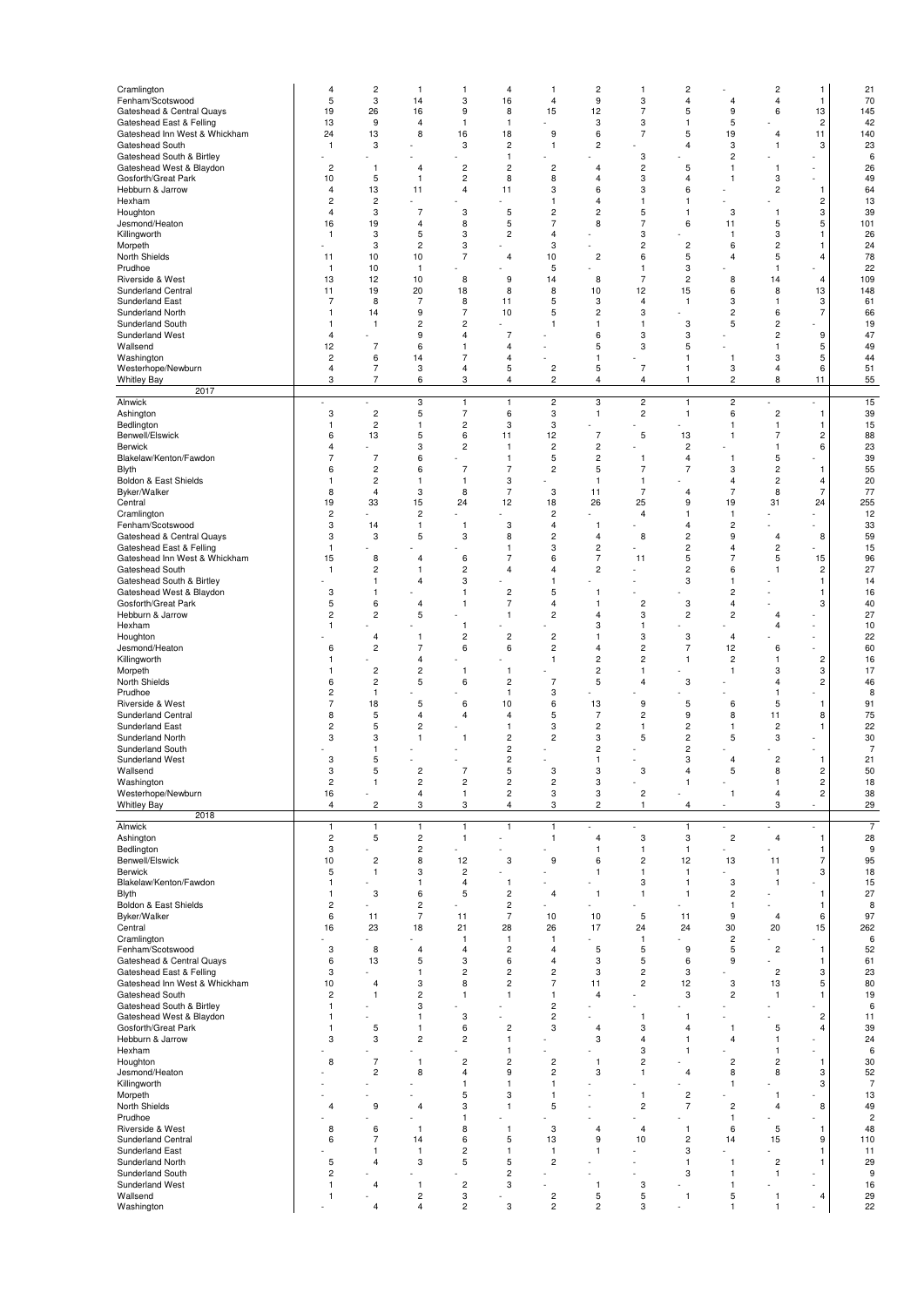| Cramlington<br>Fenham/Scotswood<br>Gateshead & Central Quays<br>Gateshead East & Felling<br>Gateshead Inn West & Whickham<br>Gateshead South<br>Gateshead South & Birtley<br>Gateshead West & Blaydon<br>Gosforth/Great Park<br>Hebburn & Jarrow<br>Hexham<br>Houghton<br>Jesmond/Heaton<br>Killingworth<br>Morpeth<br>North Shields<br>Prudhoe<br>Riverside & West<br>Sunderland Central<br>Sunderland East<br>Sunderland North<br>Sunderland South<br>Sunderland West<br>Wallsend<br>Washington<br>Westerhope/Newburn<br><b>Whitley Bay</b><br>2017 | 4<br>5<br>19<br>13<br>24<br>1<br>$\overline{\mathbf{c}}$<br>10<br>4<br>$\overline{c}$<br>4<br>16<br>1<br>11<br>1<br>13<br>11<br>$\overline{7}$<br>1<br>1<br>4<br>12<br>2<br>4<br>3 | $\overline{c}$<br>3<br>26<br>9<br>13<br>3<br>$\mathbf{1}$<br>5<br>13<br>$\overline{c}$<br>3<br>19<br>3<br>3<br>10<br>10<br>12<br>19<br>8<br>14<br>1<br>$\overline{7}$<br>6<br>7<br>$\overline{7}$ | $\mathbf{1}$<br>14<br>16<br>$\overline{4}$<br>8<br>4<br>$\mathbf{1}$<br>11<br>7<br>4<br>5<br>$\overline{\mathbf{c}}$<br>10<br>-1<br>10<br>20<br>$\overline{7}$<br>9<br>$\overline{c}$<br>9<br>6<br>14<br>3<br>6 | 1<br>3<br>9<br>$\mathbf{1}$<br>16<br>3<br>$\overline{c}$<br>2<br>4<br>3<br>8<br>3<br>3<br>7<br>8<br>18<br>8<br>$\overline{7}$<br>$\overline{\mathbf{c}}$<br>4<br>$\mathbf{1}$<br>$\overline{7}$<br>4<br>3 | 4<br>16<br>8<br>1<br>18<br>$\overline{c}$<br>1<br>$\overline{c}$<br>8<br>11<br>5<br>5<br>$\overline{c}$<br>4<br>9<br>8<br>11<br>10<br>7<br>4<br>4<br>5<br>$\overline{4}$ | $\mathbf{1}$<br>4<br>15<br>9<br>1<br>$\overline{c}$<br>8<br>3<br>1<br>$\overline{\mathbf{c}}$<br>7<br>4<br>3<br>10<br>5<br>14<br>8<br>5<br>5<br>$\mathbf{1}$<br>$\overline{c}$<br>$\overline{c}$ | $\overline{\mathbf{c}}$<br>9<br>12<br>3<br>6<br>2<br>4<br>4<br>6<br>4<br>$\overline{\mathbf{c}}$<br>8<br>$\overline{\mathbf{c}}$<br>8<br>10<br>3<br>2<br>1<br>6<br>5<br>1<br>5<br>4 | $\overline{1}$<br>$\sqrt{3}$<br>$\overline{7}$<br>3<br>$\overline{7}$<br>3<br>$\sqrt{2}$<br>3<br>3<br>$\overline{1}$<br>5<br>$\overline{7}$<br>3<br>2<br>6<br>$\overline{1}$<br>$\overline{7}$<br>12<br>$\overline{4}$<br>3<br>$\overline{1}$<br>3<br>3<br>$\overline{7}$<br>4 | $\overline{c}$<br>4<br>5<br>$\mathbf{1}$<br>5<br>4<br>5<br>$\overline{4}$<br>6<br>$\mathbf{1}$<br>1<br>6<br>$\overline{\mathbf{c}}$<br>5<br>3<br>$\overline{c}$<br>15<br>$\mathbf{1}$<br>3<br>3<br>5<br>1<br>1<br>1 | 4<br>9<br>5<br>19<br>3<br>$\overline{c}$<br>1<br>1<br>3<br>11<br>1<br>6<br>4<br>8<br>6<br>3<br>$\overline{c}$<br>5<br>1<br>3<br>$\overline{\mathbf{c}}$ | $\overline{c}$<br>4<br>6<br>4<br>1<br>1<br>3<br>$\overline{c}$<br>1<br>5<br>3<br>$\overline{c}$<br>5<br>1<br>14<br>8<br>$\mathbf{1}$<br>6<br>$\overline{c}$<br>$\overline{c}$<br>1<br>3<br>4<br>8 | 1<br>1<br>13<br>$\overline{c}$<br>11<br>3<br>-1<br>2<br>3<br>5<br>1<br>1<br>4<br>4<br>13<br>3<br>7<br>9<br>5<br>5<br>6<br>11 | 21<br>70<br>145<br>42<br>140<br>23<br>6<br>26<br>49<br>64<br>13<br>39<br>101<br>26<br>24<br>78<br>22<br>109<br>148<br>61<br>66<br>19<br>47<br>49<br>44<br>51<br>55 |
|-------------------------------------------------------------------------------------------------------------------------------------------------------------------------------------------------------------------------------------------------------------------------------------------------------------------------------------------------------------------------------------------------------------------------------------------------------------------------------------------------------------------------------------------------------|------------------------------------------------------------------------------------------------------------------------------------------------------------------------------------|---------------------------------------------------------------------------------------------------------------------------------------------------------------------------------------------------|-----------------------------------------------------------------------------------------------------------------------------------------------------------------------------------------------------------------|-----------------------------------------------------------------------------------------------------------------------------------------------------------------------------------------------------------|--------------------------------------------------------------------------------------------------------------------------------------------------------------------------|--------------------------------------------------------------------------------------------------------------------------------------------------------------------------------------------------|-------------------------------------------------------------------------------------------------------------------------------------------------------------------------------------|--------------------------------------------------------------------------------------------------------------------------------------------------------------------------------------------------------------------------------------------------------------------------------|---------------------------------------------------------------------------------------------------------------------------------------------------------------------------------------------------------------------|---------------------------------------------------------------------------------------------------------------------------------------------------------|---------------------------------------------------------------------------------------------------------------------------------------------------------------------------------------------------|------------------------------------------------------------------------------------------------------------------------------|--------------------------------------------------------------------------------------------------------------------------------------------------------------------|
| Alnwick                                                                                                                                                                                                                                                                                                                                                                                                                                                                                                                                               |                                                                                                                                                                                    | ä,                                                                                                                                                                                                | 3                                                                                                                                                                                                               | 1                                                                                                                                                                                                         | 1                                                                                                                                                                        | $\overline{c}$                                                                                                                                                                                   | 3                                                                                                                                                                                   | $\overline{\mathbf{c}}$                                                                                                                                                                                                                                                        | 1                                                                                                                                                                                                                   | $\overline{\mathbf{c}}$                                                                                                                                 |                                                                                                                                                                                                   | $\overline{\phantom{a}}$                                                                                                     | 15                                                                                                                                                                 |
| Ashington<br>Bedlington                                                                                                                                                                                                                                                                                                                                                                                                                                                                                                                               | 3<br>1                                                                                                                                                                             | $\overline{\mathbf{c}}$<br>$\overline{c}$                                                                                                                                                         | 5<br>1                                                                                                                                                                                                          | 7<br>$\overline{c}$                                                                                                                                                                                       | 6<br>3                                                                                                                                                                   | 3<br>3                                                                                                                                                                                           | 1                                                                                                                                                                                   | $\overline{c}$                                                                                                                                                                                                                                                                 | 1                                                                                                                                                                                                                   | 6<br>1                                                                                                                                                  | $\overline{\mathbf{c}}$<br>1                                                                                                                                                                      | $\mathbf{1}$<br>1                                                                                                            | 39<br>15                                                                                                                                                           |
| Benwell/Elswick                                                                                                                                                                                                                                                                                                                                                                                                                                                                                                                                       | 6                                                                                                                                                                                  | 13                                                                                                                                                                                                | 5                                                                                                                                                                                                               | 6                                                                                                                                                                                                         | 11                                                                                                                                                                       | 12                                                                                                                                                                                               | $\overline{7}$                                                                                                                                                                      | 5                                                                                                                                                                                                                                                                              | 13                                                                                                                                                                                                                  | 1                                                                                                                                                       | 7                                                                                                                                                                                                 | $\overline{c}$                                                                                                               | 88                                                                                                                                                                 |
| Berwick                                                                                                                                                                                                                                                                                                                                                                                                                                                                                                                                               | 4                                                                                                                                                                                  |                                                                                                                                                                                                   | 3                                                                                                                                                                                                               | 2                                                                                                                                                                                                         | 1                                                                                                                                                                        | $\mathbf 2$                                                                                                                                                                                      | $\overline{c}$                                                                                                                                                                      |                                                                                                                                                                                                                                                                                | $\overline{c}$                                                                                                                                                                                                      |                                                                                                                                                         | 1                                                                                                                                                                                                 | 6                                                                                                                            | 23                                                                                                                                                                 |
| Blakelaw/Kenton/Fawdon<br>Blyth                                                                                                                                                                                                                                                                                                                                                                                                                                                                                                                       | 7<br>6                                                                                                                                                                             | 7<br>2                                                                                                                                                                                            | 6<br>6                                                                                                                                                                                                          | $\overline{7}$                                                                                                                                                                                            | -1<br>$\overline{7}$                                                                                                                                                     | 5<br>$\overline{c}$                                                                                                                                                                              | 2<br>5                                                                                                                                                                              | -1<br>$\overline{7}$                                                                                                                                                                                                                                                           | $\overline{4}$<br>$\overline{7}$                                                                                                                                                                                    | 1<br>3                                                                                                                                                  | 5<br>$\overline{c}$                                                                                                                                                                               | $\mathbf{1}$                                                                                                                 | 39<br>55                                                                                                                                                           |
| Boldon & East Shields                                                                                                                                                                                                                                                                                                                                                                                                                                                                                                                                 | 1                                                                                                                                                                                  | $\overline{c}$                                                                                                                                                                                    | 1                                                                                                                                                                                                               | $\mathbf{1}$                                                                                                                                                                                              | 3                                                                                                                                                                        |                                                                                                                                                                                                  | 1                                                                                                                                                                                   | $\mathbf{1}$                                                                                                                                                                                                                                                                   |                                                                                                                                                                                                                     | 4                                                                                                                                                       | $\overline{c}$                                                                                                                                                                                    | 4                                                                                                                            | 20                                                                                                                                                                 |
| Byker/Walker<br>Central                                                                                                                                                                                                                                                                                                                                                                                                                                                                                                                               | 8<br>19                                                                                                                                                                            | 4<br>33                                                                                                                                                                                           | 3<br>15                                                                                                                                                                                                         | 8<br>24                                                                                                                                                                                                   | $\overline{7}$<br>12                                                                                                                                                     | 3<br>18                                                                                                                                                                                          | 11<br>26                                                                                                                                                                            | $\overline{7}$<br>25                                                                                                                                                                                                                                                           | 4<br>9                                                                                                                                                                                                              | 7<br>19                                                                                                                                                 | 8<br>31                                                                                                                                                                                           | 7<br>24                                                                                                                      | 77<br>255                                                                                                                                                          |
| Cramlington                                                                                                                                                                                                                                                                                                                                                                                                                                                                                                                                           | 2                                                                                                                                                                                  |                                                                                                                                                                                                   | $\overline{c}$                                                                                                                                                                                                  |                                                                                                                                                                                                           |                                                                                                                                                                          | $\overline{c}$                                                                                                                                                                                   |                                                                                                                                                                                     | $\overline{4}$                                                                                                                                                                                                                                                                 | 1                                                                                                                                                                                                                   | 1                                                                                                                                                       |                                                                                                                                                                                                   | ٠                                                                                                                            | 12                                                                                                                                                                 |
| Fenham/Scotswood                                                                                                                                                                                                                                                                                                                                                                                                                                                                                                                                      | 3                                                                                                                                                                                  | 14                                                                                                                                                                                                | $\mathbf{1}$                                                                                                                                                                                                    | $\mathbf{1}$                                                                                                                                                                                              | 3                                                                                                                                                                        | 4                                                                                                                                                                                                | $\mathbf{1}$                                                                                                                                                                        |                                                                                                                                                                                                                                                                                | $\overline{4}$                                                                                                                                                                                                      | 2                                                                                                                                                       |                                                                                                                                                                                                   |                                                                                                                              | 33                                                                                                                                                                 |
| Gateshead & Central Quays<br>Gateshead East & Felling                                                                                                                                                                                                                                                                                                                                                                                                                                                                                                 | 3<br>1                                                                                                                                                                             | 3                                                                                                                                                                                                 | 5                                                                                                                                                                                                               | 3                                                                                                                                                                                                         | 8<br>$\mathbf{1}$                                                                                                                                                        | $\overline{c}$<br>3                                                                                                                                                                              | 4<br>2                                                                                                                                                                              | 8                                                                                                                                                                                                                                                                              | $\overline{c}$<br>$\overline{c}$                                                                                                                                                                                    | 9<br>4                                                                                                                                                  | 4<br>$\overline{c}$                                                                                                                                                                               | 8                                                                                                                            | 59<br>15                                                                                                                                                           |
| Gateshead Inn West & Whickham                                                                                                                                                                                                                                                                                                                                                                                                                                                                                                                         | 15                                                                                                                                                                                 | 8                                                                                                                                                                                                 | 4                                                                                                                                                                                                               | 6                                                                                                                                                                                                         | $\overline{7}$                                                                                                                                                           | 6                                                                                                                                                                                                | 7                                                                                                                                                                                   | 11                                                                                                                                                                                                                                                                             | 5                                                                                                                                                                                                                   | 7                                                                                                                                                       | 5                                                                                                                                                                                                 | 15                                                                                                                           | 96                                                                                                                                                                 |
| Gateshead South<br>Gateshead South & Birtley                                                                                                                                                                                                                                                                                                                                                                                                                                                                                                          | 1                                                                                                                                                                                  | 2<br>1                                                                                                                                                                                            | 1<br>4                                                                                                                                                                                                          | 2<br>3                                                                                                                                                                                                    | 4                                                                                                                                                                        | 4<br>1                                                                                                                                                                                           | 2                                                                                                                                                                                   |                                                                                                                                                                                                                                                                                | $\overline{c}$<br>3                                                                                                                                                                                                 | 6<br>1                                                                                                                                                  | $\mathbf{1}$                                                                                                                                                                                      | $\overline{c}$<br>$\mathbf{1}$                                                                                               | 27<br>14                                                                                                                                                           |
| Gateshead West & Blaydon                                                                                                                                                                                                                                                                                                                                                                                                                                                                                                                              | 3                                                                                                                                                                                  | 1                                                                                                                                                                                                 |                                                                                                                                                                                                                 | 1                                                                                                                                                                                                         | $\overline{\mathbf{c}}$                                                                                                                                                  | 5                                                                                                                                                                                                | 1                                                                                                                                                                                   |                                                                                                                                                                                                                                                                                |                                                                                                                                                                                                                     | 2                                                                                                                                                       |                                                                                                                                                                                                   | 1                                                                                                                            | 16                                                                                                                                                                 |
| Gosforth/Great Park                                                                                                                                                                                                                                                                                                                                                                                                                                                                                                                                   | 5                                                                                                                                                                                  | 6                                                                                                                                                                                                 | 4                                                                                                                                                                                                               | $\mathbf{1}$                                                                                                                                                                                              | $\overline{7}$                                                                                                                                                           | 4                                                                                                                                                                                                | 1                                                                                                                                                                                   | $\overline{c}$                                                                                                                                                                                                                                                                 | 3                                                                                                                                                                                                                   | 4                                                                                                                                                       |                                                                                                                                                                                                   | 3                                                                                                                            | 40                                                                                                                                                                 |
| Hebburn & Jarrow<br>Hexham                                                                                                                                                                                                                                                                                                                                                                                                                                                                                                                            | $\overline{c}$<br>1                                                                                                                                                                | $\overline{\mathbf{c}}$                                                                                                                                                                           | 5                                                                                                                                                                                                               | -1                                                                                                                                                                                                        | 1                                                                                                                                                                        | $\overline{c}$                                                                                                                                                                                   | 4<br>3                                                                                                                                                                              | 3<br>$\overline{1}$                                                                                                                                                                                                                                                            | $\overline{c}$                                                                                                                                                                                                      | $\overline{\mathbf{c}}$                                                                                                                                 | 4<br>4                                                                                                                                                                                            |                                                                                                                              | 27<br>10                                                                                                                                                           |
| Houghton                                                                                                                                                                                                                                                                                                                                                                                                                                                                                                                                              |                                                                                                                                                                                    | 4                                                                                                                                                                                                 | $\mathbf{1}$                                                                                                                                                                                                    | $\overline{\mathbf{c}}$                                                                                                                                                                                   | $\overline{\mathbf{c}}$                                                                                                                                                  | 2                                                                                                                                                                                                | 1                                                                                                                                                                                   | 3                                                                                                                                                                                                                                                                              | 3                                                                                                                                                                                                                   | $\overline{4}$                                                                                                                                          |                                                                                                                                                                                                   |                                                                                                                              | 22                                                                                                                                                                 |
| Jesmond/Heaton<br>Killingworth                                                                                                                                                                                                                                                                                                                                                                                                                                                                                                                        | 6<br>1                                                                                                                                                                             | 2                                                                                                                                                                                                 | 7<br>4                                                                                                                                                                                                          | 6                                                                                                                                                                                                         | 6                                                                                                                                                                        | $\overline{c}$<br>1                                                                                                                                                                              | 4<br>2                                                                                                                                                                              | $\overline{c}$<br>$\overline{c}$                                                                                                                                                                                                                                               | $\overline{7}$<br>1                                                                                                                                                                                                 | 12<br>$\overline{c}$                                                                                                                                    | 6<br>1                                                                                                                                                                                            | 2                                                                                                                            | 60<br>16                                                                                                                                                           |
| Morpeth                                                                                                                                                                                                                                                                                                                                                                                                                                                                                                                                               | 1                                                                                                                                                                                  | $\overline{\mathbf{c}}$                                                                                                                                                                           | $\overline{\mathbf{c}}$                                                                                                                                                                                         | $\mathbf{1}$                                                                                                                                                                                              | 1                                                                                                                                                                        |                                                                                                                                                                                                  | $\overline{c}$                                                                                                                                                                      | -1                                                                                                                                                                                                                                                                             |                                                                                                                                                                                                                     | 1                                                                                                                                                       | 3                                                                                                                                                                                                 | 3                                                                                                                            | 17                                                                                                                                                                 |
| North Shields                                                                                                                                                                                                                                                                                                                                                                                                                                                                                                                                         | 6                                                                                                                                                                                  | $\overline{c}$                                                                                                                                                                                    | 5                                                                                                                                                                                                               | 6                                                                                                                                                                                                         | $\overline{\mathbf{c}}$                                                                                                                                                  | $\overline{7}$                                                                                                                                                                                   | 5                                                                                                                                                                                   | $\overline{4}$                                                                                                                                                                                                                                                                 | 3                                                                                                                                                                                                                   |                                                                                                                                                         | 4                                                                                                                                                                                                 | $\overline{c}$                                                                                                               | 46                                                                                                                                                                 |
| Prudhoe<br>Riverside & West                                                                                                                                                                                                                                                                                                                                                                                                                                                                                                                           | $\overline{\mathbf{c}}$<br>$\overline{7}$                                                                                                                                          | $\mathbf{1}$<br>18                                                                                                                                                                                | 5                                                                                                                                                                                                               | 6                                                                                                                                                                                                         | $\mathbf{1}$<br>10                                                                                                                                                       | 3<br>6                                                                                                                                                                                           | 13                                                                                                                                                                                  | 9                                                                                                                                                                                                                                                                              | 5                                                                                                                                                                                                                   | 6                                                                                                                                                       | 1<br>5                                                                                                                                                                                            | $\mathbf{1}$                                                                                                                 | 8<br>91                                                                                                                                                            |
| <b>Sunderland Central</b>                                                                                                                                                                                                                                                                                                                                                                                                                                                                                                                             | 8                                                                                                                                                                                  | 5                                                                                                                                                                                                 | 4                                                                                                                                                                                                               | 4                                                                                                                                                                                                         | 4                                                                                                                                                                        | 5                                                                                                                                                                                                | 7                                                                                                                                                                                   | $\overline{c}$                                                                                                                                                                                                                                                                 | 9                                                                                                                                                                                                                   | 8                                                                                                                                                       | 11                                                                                                                                                                                                | 8                                                                                                                            | 75                                                                                                                                                                 |
| Sunderland East<br>Sunderland North                                                                                                                                                                                                                                                                                                                                                                                                                                                                                                                   | $\overline{c}$<br>3                                                                                                                                                                | 5<br>3                                                                                                                                                                                            | $\overline{c}$<br>$\mathbf{1}$                                                                                                                                                                                  | 1                                                                                                                                                                                                         | 1<br>$\overline{\mathbf{c}}$                                                                                                                                             | 3<br>2                                                                                                                                                                                           | $\overline{c}$<br>3                                                                                                                                                                 | -1<br>5                                                                                                                                                                                                                                                                        | $\overline{c}$<br>$\overline{\mathbf{c}}$                                                                                                                                                                           | 1<br>5                                                                                                                                                  | $\overline{\mathbf{c}}$<br>3                                                                                                                                                                      | 1                                                                                                                            | 22<br>30                                                                                                                                                           |
| Sunderland South                                                                                                                                                                                                                                                                                                                                                                                                                                                                                                                                      |                                                                                                                                                                                    | 1                                                                                                                                                                                                 |                                                                                                                                                                                                                 |                                                                                                                                                                                                           | $\overline{c}$                                                                                                                                                           |                                                                                                                                                                                                  | $\overline{c}$                                                                                                                                                                      |                                                                                                                                                                                                                                                                                | $\overline{c}$                                                                                                                                                                                                      |                                                                                                                                                         |                                                                                                                                                                                                   |                                                                                                                              | 7                                                                                                                                                                  |
| Sunderland West                                                                                                                                                                                                                                                                                                                                                                                                                                                                                                                                       | 3                                                                                                                                                                                  | 5                                                                                                                                                                                                 |                                                                                                                                                                                                                 |                                                                                                                                                                                                           | $\overline{c}$                                                                                                                                                           |                                                                                                                                                                                                  | 1                                                                                                                                                                                   |                                                                                                                                                                                                                                                                                | 3                                                                                                                                                                                                                   | 4                                                                                                                                                       | $\mathbf 2$                                                                                                                                                                                       | $\mathbf{1}$                                                                                                                 | 21                                                                                                                                                                 |
| Wallsend<br>Washington                                                                                                                                                                                                                                                                                                                                                                                                                                                                                                                                | 3<br>$\overline{\mathbf{c}}$                                                                                                                                                       | 5<br>$\mathbf 1$                                                                                                                                                                                  | $\overline{c}$<br>$\overline{\mathbf{c}}$                                                                                                                                                                       | $\overline{7}$<br>$\mathbf 2$                                                                                                                                                                             | 5<br>$\overline{\mathbf{c}}$                                                                                                                                             | 3<br>$\mathbf 2$                                                                                                                                                                                 | 3<br>3                                                                                                                                                                              | 3                                                                                                                                                                                                                                                                              | $\overline{4}$<br>$\mathbf{1}$                                                                                                                                                                                      | 5<br>×,                                                                                                                                                 | 8<br>1                                                                                                                                                                                            | 2<br>$\overline{\mathbf{c}}$                                                                                                 | 50<br>18                                                                                                                                                           |
| Westerhope/Newburn                                                                                                                                                                                                                                                                                                                                                                                                                                                                                                                                    | 16                                                                                                                                                                                 |                                                                                                                                                                                                   | 4                                                                                                                                                                                                               | $\mathbf{1}$                                                                                                                                                                                              | $\overline{c}$                                                                                                                                                           | 3                                                                                                                                                                                                | 3                                                                                                                                                                                   | $\overline{c}$                                                                                                                                                                                                                                                                 | ٠                                                                                                                                                                                                                   | 1                                                                                                                                                       | 4                                                                                                                                                                                                 | $\overline{\mathbf{c}}$                                                                                                      | 38                                                                                                                                                                 |
| <b>Whitley Bay</b><br>2018                                                                                                                                                                                                                                                                                                                                                                                                                                                                                                                            | 4                                                                                                                                                                                  | $\overline{c}$                                                                                                                                                                                    | 3                                                                                                                                                                                                               | 3                                                                                                                                                                                                         | 4                                                                                                                                                                        | 3                                                                                                                                                                                                | $\overline{c}$                                                                                                                                                                      | $\mathbf{1}$                                                                                                                                                                                                                                                                   | 4                                                                                                                                                                                                                   | ×,                                                                                                                                                      | 3                                                                                                                                                                                                 |                                                                                                                              | 29                                                                                                                                                                 |
| Alnwick                                                                                                                                                                                                                                                                                                                                                                                                                                                                                                                                               | 1                                                                                                                                                                                  | $\mathbf{1}$                                                                                                                                                                                      | 1                                                                                                                                                                                                               | $\mathbf{1}$                                                                                                                                                                                              | $\mathbf{1}$                                                                                                                                                             | $\mathbf{1}$                                                                                                                                                                                     | $\overline{\phantom{a}}$                                                                                                                                                            | $\overline{\phantom{a}}$                                                                                                                                                                                                                                                       | 1                                                                                                                                                                                                                   | ÷                                                                                                                                                       | ÷.                                                                                                                                                                                                | $\overline{\phantom{a}}$                                                                                                     | $\overline{7}$                                                                                                                                                     |
| Ashington                                                                                                                                                                                                                                                                                                                                                                                                                                                                                                                                             | $\overline{\mathbf{c}}$<br>3                                                                                                                                                       | 5                                                                                                                                                                                                 | $\overline{\mathbf{c}}$<br>2                                                                                                                                                                                    | $\mathbf{1}$                                                                                                                                                                                              | ÷,                                                                                                                                                                       | 1                                                                                                                                                                                                | 4<br>1                                                                                                                                                                              | $\sqrt{3}$<br>$\overline{1}$                                                                                                                                                                                                                                                   | 3<br>$\mathbf{1}$                                                                                                                                                                                                   | $\overline{\mathbf{c}}$<br>٠                                                                                                                            | 4                                                                                                                                                                                                 | $\mathbf{1}$<br>-1                                                                                                           | 28<br>9                                                                                                                                                            |
| Bedlington<br>Benwell/Elswick                                                                                                                                                                                                                                                                                                                                                                                                                                                                                                                         | 10                                                                                                                                                                                 | $\overline{c}$                                                                                                                                                                                    | 8                                                                                                                                                                                                               | 12                                                                                                                                                                                                        | 3                                                                                                                                                                        | 9                                                                                                                                                                                                | 6                                                                                                                                                                                   | $\overline{c}$                                                                                                                                                                                                                                                                 | 12                                                                                                                                                                                                                  | 13                                                                                                                                                      | 11                                                                                                                                                                                                | $\overline{7}$                                                                                                               | 95                                                                                                                                                                 |
| Berwick<br>Blakelaw/Kenton/Fawdon                                                                                                                                                                                                                                                                                                                                                                                                                                                                                                                     | 5<br>1                                                                                                                                                                             | 1                                                                                                                                                                                                 | 3<br>1                                                                                                                                                                                                          | $\overline{c}$<br>4                                                                                                                                                                                       |                                                                                                                                                                          |                                                                                                                                                                                                  | 1                                                                                                                                                                                   | $\overline{1}$<br>3                                                                                                                                                                                                                                                            | 1<br>1                                                                                                                                                                                                              | 3                                                                                                                                                       | 1<br>1                                                                                                                                                                                            | 3                                                                                                                            | 18<br>15                                                                                                                                                           |
| Blyth                                                                                                                                                                                                                                                                                                                                                                                                                                                                                                                                                 | 1                                                                                                                                                                                  | 3                                                                                                                                                                                                 | 6                                                                                                                                                                                                               | 5                                                                                                                                                                                                         | -1<br>$\overline{\mathbf{c}}$                                                                                                                                            | 4                                                                                                                                                                                                | 1                                                                                                                                                                                   | $\overline{1}$                                                                                                                                                                                                                                                                 | $\mathbf{1}$                                                                                                                                                                                                        | $\overline{\mathbf{c}}$                                                                                                                                 |                                                                                                                                                                                                   | $\mathbf{1}$                                                                                                                 | 27                                                                                                                                                                 |
| Boldon & East Shields                                                                                                                                                                                                                                                                                                                                                                                                                                                                                                                                 | 2                                                                                                                                                                                  |                                                                                                                                                                                                   | 2                                                                                                                                                                                                               |                                                                                                                                                                                                           | $\overline{\mathbf{c}}$                                                                                                                                                  |                                                                                                                                                                                                  |                                                                                                                                                                                     |                                                                                                                                                                                                                                                                                | ٠                                                                                                                                                                                                                   | 1                                                                                                                                                       |                                                                                                                                                                                                   | -1                                                                                                                           | 8                                                                                                                                                                  |
| Byker/Walker<br>Central                                                                                                                                                                                                                                                                                                                                                                                                                                                                                                                               | 6<br>16                                                                                                                                                                            | 11<br>23                                                                                                                                                                                          | $\overline{7}$<br>18                                                                                                                                                                                            | 11<br>21                                                                                                                                                                                                  | $\overline{7}$<br>28                                                                                                                                                     | 10<br>26                                                                                                                                                                                         | 10<br>17                                                                                                                                                                            | 5<br>24                                                                                                                                                                                                                                                                        | 11<br>24                                                                                                                                                                                                            | 9<br>30                                                                                                                                                 | $\overline{4}$<br>20                                                                                                                                                                              | 6<br>15                                                                                                                      | 97<br>262                                                                                                                                                          |
| Cramlington                                                                                                                                                                                                                                                                                                                                                                                                                                                                                                                                           |                                                                                                                                                                                    |                                                                                                                                                                                                   |                                                                                                                                                                                                                 | 1                                                                                                                                                                                                         | 1                                                                                                                                                                        | 1                                                                                                                                                                                                |                                                                                                                                                                                     | $\overline{1}$                                                                                                                                                                                                                                                                 |                                                                                                                                                                                                                     | $\overline{c}$                                                                                                                                          |                                                                                                                                                                                                   |                                                                                                                              | 6                                                                                                                                                                  |
| Fenham/Scotswood<br>Gateshead & Central Quays                                                                                                                                                                                                                                                                                                                                                                                                                                                                                                         | 3<br>6                                                                                                                                                                             | 8<br>13                                                                                                                                                                                           | 4<br>5                                                                                                                                                                                                          | 4<br>3                                                                                                                                                                                                    | $\overline{\mathbf{c}}$<br>6                                                                                                                                             | 4<br>4                                                                                                                                                                                           | 5<br>3                                                                                                                                                                              | 5<br>5                                                                                                                                                                                                                                                                         | 9<br>6                                                                                                                                                                                                              | 5<br>9                                                                                                                                                  | $\overline{\mathbf{c}}$                                                                                                                                                                           | $\mathbf{1}$<br>-1                                                                                                           | 52<br>61                                                                                                                                                           |
| Gateshead East & Felling                                                                                                                                                                                                                                                                                                                                                                                                                                                                                                                              | 3                                                                                                                                                                                  |                                                                                                                                                                                                   | $\mathbf{1}$                                                                                                                                                                                                    | 2                                                                                                                                                                                                         | $\overline{\mathbf{c}}$                                                                                                                                                  | 2                                                                                                                                                                                                | 3                                                                                                                                                                                   | $\overline{c}$                                                                                                                                                                                                                                                                 | 3                                                                                                                                                                                                                   |                                                                                                                                                         | $\overline{c}$                                                                                                                                                                                    | 3                                                                                                                            | 23                                                                                                                                                                 |
| Gateshead Inn West & Whickham                                                                                                                                                                                                                                                                                                                                                                                                                                                                                                                         | 10                                                                                                                                                                                 | 4                                                                                                                                                                                                 | 3                                                                                                                                                                                                               | 8                                                                                                                                                                                                         | $\overline{c}$                                                                                                                                                           | $\overline{7}$                                                                                                                                                                                   | 11                                                                                                                                                                                  | $\overline{c}$                                                                                                                                                                                                                                                                 | 12                                                                                                                                                                                                                  | 3                                                                                                                                                       | 13                                                                                                                                                                                                | 5                                                                                                                            | 80                                                                                                                                                                 |
| Gateshead South<br>Gateshead South & Birtley                                                                                                                                                                                                                                                                                                                                                                                                                                                                                                          | $\overline{\mathbf{c}}$<br>1                                                                                                                                                       | 1                                                                                                                                                                                                 | $\overline{c}$<br>3                                                                                                                                                                                             | $\mathbf{1}$                                                                                                                                                                                              | $\mathbf{1}$                                                                                                                                                             | 1<br>$\mathbf 2$                                                                                                                                                                                 | 4                                                                                                                                                                                   |                                                                                                                                                                                                                                                                                | 3                                                                                                                                                                                                                   | $\overline{c}$                                                                                                                                          | 1                                                                                                                                                                                                 | $\mathbf{1}$<br>٠                                                                                                            | 19<br>6                                                                                                                                                            |
| Gateshead West & Blaydon                                                                                                                                                                                                                                                                                                                                                                                                                                                                                                                              | 1                                                                                                                                                                                  | ×,                                                                                                                                                                                                | $\mathbf{1}$                                                                                                                                                                                                    | 3                                                                                                                                                                                                         |                                                                                                                                                                          | $\mathbf 2$                                                                                                                                                                                      | ä,                                                                                                                                                                                  | -1                                                                                                                                                                                                                                                                             | 1                                                                                                                                                                                                                   | ×,                                                                                                                                                      |                                                                                                                                                                                                   | $\overline{\mathbf{c}}$                                                                                                      | 11                                                                                                                                                                 |
| Gosforth/Great Park<br>Hebburn & Jarrow                                                                                                                                                                                                                                                                                                                                                                                                                                                                                                               | 1<br>3                                                                                                                                                                             | 5<br>3                                                                                                                                                                                            | $\mathbf{1}$<br>$\overline{\mathbf{c}}$                                                                                                                                                                         | 6<br>$\overline{c}$                                                                                                                                                                                       | $\overline{\mathbf{c}}$<br>$\mathbf{1}$                                                                                                                                  | 3                                                                                                                                                                                                | 4<br>3                                                                                                                                                                              | 3<br>$\overline{4}$                                                                                                                                                                                                                                                            | $\overline{4}$<br>$\mathbf{1}$                                                                                                                                                                                      | 1<br>4                                                                                                                                                  | 5<br>$\mathbf{1}$                                                                                                                                                                                 | 4                                                                                                                            | 39<br>24                                                                                                                                                           |
| Hexham                                                                                                                                                                                                                                                                                                                                                                                                                                                                                                                                                |                                                                                                                                                                                    |                                                                                                                                                                                                   |                                                                                                                                                                                                                 |                                                                                                                                                                                                           | 1                                                                                                                                                                        |                                                                                                                                                                                                  |                                                                                                                                                                                     | 3                                                                                                                                                                                                                                                                              | 1                                                                                                                                                                                                                   |                                                                                                                                                         | 1                                                                                                                                                                                                 |                                                                                                                              | 6                                                                                                                                                                  |
| Houghton                                                                                                                                                                                                                                                                                                                                                                                                                                                                                                                                              | 8                                                                                                                                                                                  | $\overline{7}$                                                                                                                                                                                    | 1                                                                                                                                                                                                               | $\mathbf 2$                                                                                                                                                                                               | $\overline{\mathbf{c}}$                                                                                                                                                  | $\overline{c}$                                                                                                                                                                                   | 1                                                                                                                                                                                   | $\overline{c}$                                                                                                                                                                                                                                                                 |                                                                                                                                                                                                                     | $\overline{\mathbf{c}}$                                                                                                                                 | $\overline{\mathbf{c}}$                                                                                                                                                                           | -1                                                                                                                           | 30                                                                                                                                                                 |
| Jesmond/Heaton<br>Killingworth                                                                                                                                                                                                                                                                                                                                                                                                                                                                                                                        |                                                                                                                                                                                    | $\overline{\mathbf{c}}$                                                                                                                                                                           | 8                                                                                                                                                                                                               | $\overline{4}$<br>$\mathbf{1}$                                                                                                                                                                            | 9<br>1                                                                                                                                                                   | $\mathbf 2$<br>$\mathbf{1}$                                                                                                                                                                      | 3                                                                                                                                                                                   | $\mathbf{1}$                                                                                                                                                                                                                                                                   | 4                                                                                                                                                                                                                   | 8<br>1                                                                                                                                                  | 8                                                                                                                                                                                                 | 3<br>3                                                                                                                       | 52<br>$\overline{7}$                                                                                                                                               |
| Morpeth                                                                                                                                                                                                                                                                                                                                                                                                                                                                                                                                               |                                                                                                                                                                                    |                                                                                                                                                                                                   |                                                                                                                                                                                                                 | 5                                                                                                                                                                                                         | 3                                                                                                                                                                        | $\mathbf{1}$                                                                                                                                                                                     |                                                                                                                                                                                     | $\overline{1}$                                                                                                                                                                                                                                                                 | $\overline{\mathbf{c}}$                                                                                                                                                                                             |                                                                                                                                                         | $\mathbf{1}$                                                                                                                                                                                      |                                                                                                                              | 13                                                                                                                                                                 |
| North Shields<br>Prudhoe                                                                                                                                                                                                                                                                                                                                                                                                                                                                                                                              | 4                                                                                                                                                                                  | 9                                                                                                                                                                                                 | 4                                                                                                                                                                                                               | 3<br>1                                                                                                                                                                                                    | $\mathbf{1}$                                                                                                                                                             | 5                                                                                                                                                                                                |                                                                                                                                                                                     | $\overline{c}$                                                                                                                                                                                                                                                                 | $\overline{7}$                                                                                                                                                                                                      | $\overline{c}$<br>1                                                                                                                                     | 4                                                                                                                                                                                                 | 8                                                                                                                            | 49<br>$\overline{\mathbf{c}}$                                                                                                                                      |
| Riverside & West                                                                                                                                                                                                                                                                                                                                                                                                                                                                                                                                      | 8                                                                                                                                                                                  | 6                                                                                                                                                                                                 | 1                                                                                                                                                                                                               | 8                                                                                                                                                                                                         | -1                                                                                                                                                                       | 3                                                                                                                                                                                                | 4                                                                                                                                                                                   | $\overline{4}$                                                                                                                                                                                                                                                                 | 1                                                                                                                                                                                                                   | 6                                                                                                                                                       | 5                                                                                                                                                                                                 | 1                                                                                                                            | 48                                                                                                                                                                 |
| Sunderland Central                                                                                                                                                                                                                                                                                                                                                                                                                                                                                                                                    | 6                                                                                                                                                                                  | 7                                                                                                                                                                                                 | 14                                                                                                                                                                                                              | 6                                                                                                                                                                                                         | 5                                                                                                                                                                        | 13                                                                                                                                                                                               | 9                                                                                                                                                                                   | 10                                                                                                                                                                                                                                                                             | $\overline{\mathbf{c}}$                                                                                                                                                                                             | 14                                                                                                                                                      | 15                                                                                                                                                                                                | 9                                                                                                                            | 110                                                                                                                                                                |
| Sunderland East<br>Sunderland North                                                                                                                                                                                                                                                                                                                                                                                                                                                                                                                   | 5                                                                                                                                                                                  | 1<br>4                                                                                                                                                                                            | $\mathbf{1}$<br>3                                                                                                                                                                                               | $\overline{c}$<br>5                                                                                                                                                                                       | $\mathbf{1}$<br>5                                                                                                                                                        | $\mathbf{1}$<br>$\overline{c}$                                                                                                                                                                   | 1                                                                                                                                                                                   |                                                                                                                                                                                                                                                                                | 3<br>1                                                                                                                                                                                                              | 1                                                                                                                                                       | $\overline{c}$                                                                                                                                                                                    | $\mathbf{1}$<br>1                                                                                                            | 11<br>29                                                                                                                                                           |
| Sunderland South                                                                                                                                                                                                                                                                                                                                                                                                                                                                                                                                      | $\overline{\mathbf{c}}$                                                                                                                                                            |                                                                                                                                                                                                   |                                                                                                                                                                                                                 |                                                                                                                                                                                                           | $\overline{\mathbf{c}}$                                                                                                                                                  |                                                                                                                                                                                                  | ä,                                                                                                                                                                                  |                                                                                                                                                                                                                                                                                | 3                                                                                                                                                                                                                   | 1                                                                                                                                                       | 1                                                                                                                                                                                                 | ٠                                                                                                                            | 9                                                                                                                                                                  |
| Sunderland West<br>Wallsend                                                                                                                                                                                                                                                                                                                                                                                                                                                                                                                           | 1<br>1                                                                                                                                                                             | 4                                                                                                                                                                                                 | 1<br>$\overline{c}$                                                                                                                                                                                             | $\overline{c}$<br>3                                                                                                                                                                                       | 3                                                                                                                                                                        | $\overline{\mathbf{c}}$                                                                                                                                                                          | 1<br>5                                                                                                                                                                              | 3<br>5                                                                                                                                                                                                                                                                         | 1                                                                                                                                                                                                                   | 1<br>5                                                                                                                                                  | 1                                                                                                                                                                                                 | ٠<br>4                                                                                                                       | 16<br>29                                                                                                                                                           |
| Washington                                                                                                                                                                                                                                                                                                                                                                                                                                                                                                                                            |                                                                                                                                                                                    | 4                                                                                                                                                                                                 | 4                                                                                                                                                                                                               | $\overline{c}$                                                                                                                                                                                            | 3                                                                                                                                                                        | $\overline{c}$                                                                                                                                                                                   | 2                                                                                                                                                                                   | 3                                                                                                                                                                                                                                                                              | $\overline{\phantom{a}}$                                                                                                                                                                                            | 1                                                                                                                                                       | 1                                                                                                                                                                                                 | ÷,                                                                                                                           | 22                                                                                                                                                                 |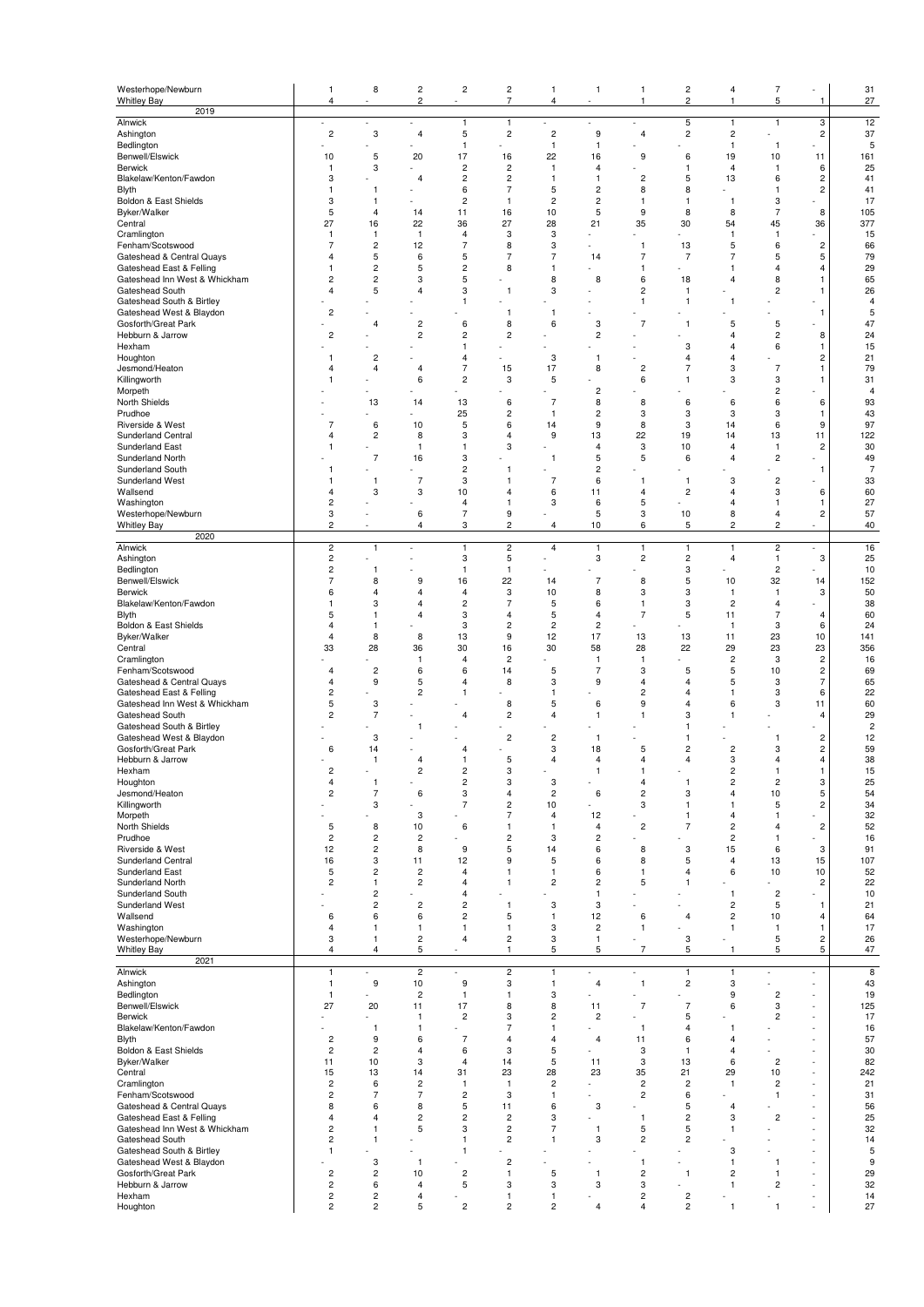| Westerhope/Newburn<br><b>Whitley Bay</b>                  | 1<br>4                                | 8                                                  | $\overline{\mathbf{c}}$<br>2 | $\mathbf 2$                               | $\sqrt{2}$<br>$\overline{7}$            | 1<br>4                         | $\mathbf{1}$<br>٠             | $\mathbf{1}$<br>$\mathbf{1}$ | $\overline{c}$<br>$\overline{c}$                   | 4<br>1                                    | $\overline{7}$<br>5              | $\mathbf{1}$                              | 31<br>27             |
|-----------------------------------------------------------|---------------------------------------|----------------------------------------------------|------------------------------|-------------------------------------------|-----------------------------------------|--------------------------------|-------------------------------|------------------------------|----------------------------------------------------|-------------------------------------------|----------------------------------|-------------------------------------------|----------------------|
| 2019                                                      |                                       |                                                    |                              |                                           |                                         |                                |                               |                              |                                                    |                                           |                                  |                                           |                      |
| Alnwick<br>Ashington                                      | $\overline{\mathbf{c}}$               | 3                                                  | 4                            | 1<br>5                                    | $\mathbf{1}$<br>$\overline{\mathbf{c}}$ | ä,<br>$\overline{c}$           | 9                             | 4                            | 5<br>$\overline{c}$                                | 1<br>$\overline{c}$                       | $\mathbf{1}$                     | 3<br>2                                    | 12<br>37             |
| Bedlington                                                |                                       |                                                    |                              | 1                                         |                                         | $\mathbf{1}$                   | 1                             |                              |                                                    | $\mathbf{1}$                              | 1                                |                                           | $\sqrt{5}$           |
| Benwell/Elswick                                           | 10                                    | 5                                                  | 20                           | 17                                        | 16                                      | 22                             | 16                            | 9                            | 6                                                  | 19                                        | 10                               | 11                                        | 161                  |
| Berwick<br>Blakelaw/Kenton/Fawdon                         | -1<br>3                               | 3                                                  | ä,<br>4                      | $\overline{c}$<br>$\overline{\mathbf{c}}$ | $\overline{c}$<br>2                     | $\overline{1}$<br>$\mathbf{1}$ | 4<br>$\mathbf{1}$             | 2                            | 1<br>5                                             | $\overline{4}$<br>13                      | $\mathbf{1}$<br>6                | 6<br>$\overline{\mathbf{c}}$              | 25<br>41             |
| Blyth                                                     | 1                                     | 1                                                  |                              | 6                                         | $\overline{7}$                          | 5                              | $\overline{c}$                | 8                            | 8                                                  |                                           | $\mathbf{1}$                     | 2                                         | 41                   |
| Boldon & East Shields                                     | 3                                     | 1                                                  |                              | $\overline{c}$                            | 1                                       | $\overline{c}$                 | $\overline{\mathbf{c}}$       | 1                            | $\mathbf{1}$                                       | $\mathbf{1}$                              | 3                                |                                           | 17                   |
| Byker/Walker<br>Central                                   | 5<br>27                               | 4<br>16                                            | 14<br>22                     | 11<br>36                                  | 16<br>27                                | 10<br>28                       | 5<br>21                       | 9<br>35                      | 8<br>30                                            | 8<br>54                                   | $\overline{7}$<br>45             | 8<br>36                                   | 105<br>377           |
| Cramlington                                               | 1                                     | $\mathbf{1}$                                       | $\overline{1}$               | 4                                         | 3                                       | 3                              |                               |                              |                                                    | $\overline{1}$                            | $\mathbf{1}$                     |                                           | 15                   |
| Fenham/Scotswood                                          | 7                                     | $\overline{c}$                                     | 12                           | $\overline{7}$                            | 8                                       | 3                              |                               | $\mathbf{1}$                 | 13                                                 | 5                                         | 6                                | 2                                         | 66                   |
| Gateshead & Central Quays                                 | 4                                     | 5                                                  | 6                            | 5                                         | $\overline{7}$                          | 7                              | 14                            | 7                            | 7                                                  | 7                                         | 5                                | $\mathbf 5$                               | 79                   |
| Gateshead East & Felling<br>Gateshead Inn West & Whickham | 1<br>$\overline{c}$                   | $\overline{\mathbf{c}}$<br>$\overline{\mathbf{c}}$ | 5<br>3                       | $\overline{\mathbf{c}}$<br>5              | 8                                       | $\mathbf{1}$<br>8              | 8                             | 1<br>6                       | 18                                                 | $\mathbf{1}$<br>4                         | $\overline{4}$<br>8              | 4<br>1                                    | 29<br>65             |
| Gateshead South                                           | 4                                     | 5                                                  | 4                            | 3                                         | 1                                       | 3                              |                               | 2                            | 1                                                  |                                           | $\overline{\mathbf{c}}$          | 1                                         | 26                   |
| Gateshead South & Birtley                                 |                                       |                                                    |                              | 1                                         |                                         |                                |                               | 1                            | -1                                                 | 1                                         |                                  |                                           | 4                    |
| Gateshead West & Blaydon<br>Gosforth/Great Park           | $\overline{c}$                        | 4                                                  | $\overline{\mathbf{c}}$      | 6                                         | -1<br>8                                 | 1<br>6                         | 3                             | $\overline{7}$               | 1                                                  | 5                                         | 5                                | 1                                         | 5<br>47              |
| Hebburn & Jarrow                                          | $\overline{c}$                        |                                                    | 2                            | $\overline{c}$                            | $\overline{c}$                          |                                | $\overline{c}$                |                              |                                                    | 4                                         | $\overline{\mathbf{c}}$          | 8                                         | 24                   |
| Hexham                                                    |                                       |                                                    |                              | 1                                         |                                         |                                |                               |                              | 3                                                  | 4                                         | 6                                | 1                                         | 15                   |
| Houghton                                                  | 1                                     | 2                                                  |                              | 4<br>$\overline{7}$                       |                                         | 3                              | $\mathbf{1}$                  |                              | $\overline{4}$                                     | 4                                         |                                  | 2                                         | 21                   |
| Jesmond/Heaton<br>Killingworth                            | 4<br>1                                | 4                                                  | 4<br>6                       | $\overline{c}$                            | 15<br>3                                 | 17<br>5                        | 8                             | $\overline{c}$<br>6          | $\overline{7}$<br>1                                | 3<br>3                                    | 7<br>3                           | 1<br>1                                    | 79<br>31             |
| Morpeth                                                   |                                       |                                                    |                              |                                           |                                         |                                | $\overline{\mathbf{c}}$       |                              |                                                    |                                           | $\overline{\mathbf{c}}$          |                                           | $\overline{4}$       |
| North Shields                                             |                                       | 13                                                 | 14                           | 13                                        | 6                                       | $\overline{7}$                 | 8                             | 8                            | 6                                                  | 6                                         | 6                                | 6                                         | 93                   |
| Prudhoe<br>Riverside & West                               | 7                                     | 6                                                  | L,<br>10                     | 25<br>5                                   | $\overline{c}$<br>6                     | $\mathbf{1}$<br>14             | $\overline{c}$<br>9           | 3<br>8                       | 3<br>3                                             | 3<br>14                                   | 3<br>6                           | 1<br>9                                    | 43<br>97             |
| Sunderland Central                                        | 4                                     | $\overline{\mathbf{c}}$                            | 8                            | 3                                         | 4                                       | 9                              | 13                            | 22                           | 19                                                 | 14                                        | 13                               | 11                                        | 122                  |
| Sunderland East                                           | 1                                     |                                                    | -1                           | $\mathbf{1}$                              | 3                                       |                                | 4                             | 3                            | 10                                                 | $\overline{4}$                            | $\mathbf{1}$                     | 2                                         | 30                   |
| Sunderland North                                          |                                       | $\overline{7}$                                     | 16                           | 3                                         |                                         | 1                              | 5                             | 5                            | 6                                                  | $\overline{4}$                            | $\overline{c}$                   |                                           | 49                   |
| Sunderland South<br><b>Sunderland West</b>                | п                                     | $\mathbf{1}$                                       | $\overline{7}$               | $\overline{c}$<br>3                       | 1<br>1                                  | $\overline{7}$                 | $\overline{c}$<br>6           | 1                            | -1                                                 | 3                                         | $\overline{\mathbf{c}}$          | 1                                         | $\overline{7}$<br>33 |
| Wallsend                                                  | 4                                     | 3                                                  | 3                            | 10                                        | 4                                       | 6                              | 11                            | 4                            | $\overline{c}$                                     | 4                                         | 3                                | 6                                         | 60                   |
| Washington                                                | $\overline{\mathbf{c}}$               |                                                    |                              | 4                                         | 1                                       | 3                              | 6                             | 5                            |                                                    | 4                                         | $\mathbf{1}$                     | $\mathbf{1}$                              | 27                   |
| Westerhope/Newburn<br><b>Whitley Bay</b>                  | 3<br>$\overline{\mathbf{c}}$          |                                                    | 6<br>4                       | 7<br>3                                    | 9<br>2                                  | 4                              | 5<br>10                       | 3<br>6                       | 10<br>5                                            | 8<br>2                                    | $\overline{4}$<br>$\overline{c}$ | $\overline{\mathbf{c}}$<br>÷,             | 57<br>40             |
| 2020                                                      |                                       |                                                    |                              |                                           |                                         |                                |                               |                              |                                                    |                                           |                                  |                                           |                      |
| Alnwick                                                   | $\overline{\mathbf{c}}$               | $\mathbf{1}$                                       |                              | $\mathbf{1}$                              | $\overline{c}$                          | $\overline{4}$                 | $\mathbf{1}$                  | $\mathbf{1}$                 | 1                                                  | $\mathbf{1}$                              | $\mathbf 2$                      |                                           | 16                   |
| Ashington<br>Bedlington                                   | $\overline{c}$<br>2                   | $\mathbf{1}$                                       |                              | 3<br>1                                    | 5<br>$\mathbf{1}$                       | ä,                             | 3                             | $\overline{\mathbf{c}}$      | $\overline{c}$<br>3                                | $\overline{4}$                            | $\mathbf{1}$<br>$\overline{c}$   | 3<br>ä,                                   | 25<br>10             |
| Benwell/Elswick                                           | $\overline{7}$                        | 8                                                  | 9                            | 16                                        | 22                                      | 14                             | $\overline{7}$                | 8                            | 5                                                  | 10                                        | 32                               | 14                                        | 152                  |
| Berwick                                                   | 6                                     | 4                                                  | 4                            | 4                                         | 3                                       | 10                             | 8                             | 3                            | 3                                                  | $\overline{1}$                            | $\mathbf{1}$                     | 3                                         | 50                   |
| Blakelaw/Kenton/Fawdon                                    | 1                                     | 3                                                  | 4                            | $\overline{c}$                            | $\overline{7}$                          | 5                              | 6                             | 1                            | 3                                                  | $\overline{c}$                            | $\overline{4}$                   |                                           | 38                   |
| Blyth<br>Boldon & East Shields                            | 5<br>4                                | 1<br>1                                             | 4                            | 3<br>3                                    | $\overline{4}$<br>2                     | 5<br>2                         | 4<br>2                        | 7                            | 5                                                  | 11<br>$\overline{1}$                      | $\overline{7}$<br>3              | 4<br>6                                    | 60<br>24             |
| Byker/Walker                                              | $\overline{4}$                        | 8                                                  | 8                            | 13                                        | 9                                       | 12                             | 17                            | 13                           | 13                                                 | 11                                        | 23                               | 10                                        | 141                  |
| Central                                                   | 33                                    | 28                                                 | 36                           | 30                                        | 16                                      | 30                             | 58                            | 28                           | 22                                                 | 29                                        | 23                               | 23                                        | 356                  |
| Cramlington<br>Fenham/Scotswood                           | 4                                     | $\overline{c}$                                     | 1<br>6                       | 4<br>6                                    | $\overline{c}$<br>14                    | 5                              | 1<br>$\overline{7}$           | 1<br>3                       | 5                                                  | $\overline{c}$<br>5                       | 3<br>10                          | $\overline{\mathbf{c}}$<br>$\overline{c}$ | 16<br>69             |
| Gateshead & Central Quays                                 | 4                                     | 9                                                  | 5                            | 4                                         | 8                                       | 3                              | 9                             | 4                            | 4                                                  | 5                                         | 3                                | $\overline{7}$                            | 65                   |
| Gateshead East & Felling                                  | 2                                     |                                                    | 2                            | 1                                         |                                         | 1                              |                               | 2                            | $\boldsymbol{\Delta}$                              | 1                                         | 3                                | 6                                         | 22                   |
| Gateshead Inn West & Whickham<br>Gateshead South          | 5<br>$\overline{c}$                   | 3<br>7                                             |                              | 4                                         | 8<br>$\overline{c}$                     | 5<br>4                         | 6<br>1                        | 9<br>1                       | 4<br>3                                             | 6<br>1                                    | 3                                | 11<br>4                                   | 60<br>29             |
| Gateshead South & Birtley                                 |                                       |                                                    | 1                            |                                           |                                         |                                |                               |                              | -1                                                 |                                           |                                  |                                           | $\overline{c}$       |
| Gateshead West & Blaydon                                  |                                       | 3                                                  |                              |                                           | $\overline{\mathbf{c}}$                 | $\overline{\mathbf{c}}$        | $\mathbf{1}$                  |                              | -1                                                 |                                           | $\mathbf{1}$                     | 2                                         | 12                   |
| Gosforth/Great Park                                       | 6                                     | 14                                                 |                              | $\overline{4}$                            | 5                                       | 3<br>4                         | 18                            | 5                            | $\overline{c}$                                     | $\overline{c}$<br>3                       | 3                                | 2<br>4                                    | 59<br>38             |
| Hebburn & Jarrow<br>Hexham                                | $\overline{c}$                        | $\mathbf{1}$                                       | 4<br>$\overline{c}$          | 1<br>$\overline{c}$                       | 3                                       |                                | 4<br>1                        | 4<br>1                       | 4                                                  | $\overline{c}$                            | 4<br>$\mathbf{1}$                | 1                                         | 15                   |
| Houghton                                                  | 4                                     |                                                    |                              | 2                                         | З                                       | З                              |                               | 4                            |                                                    | 2                                         | 2                                | З                                         | 25                   |
| Jesmond/Heaton                                            | $\overline{\mathbf{c}}$               | $\overline{7}$                                     | 6                            | 3                                         | 4                                       | 2                              | 6                             | 2                            | 3                                                  | $\overline{4}$                            | 10                               | 5                                         | 54                   |
| Killingworth<br>Morpeth                                   |                                       | 3                                                  | 3                            | 7                                         | 2<br>$\overline{7}$                     | 10<br>4                        | 12                            | 3                            | $\mathbf{1}$<br>1                                  | $\overline{1}$<br>4                       | 5<br>1                           | 2                                         | 34<br>32             |
| North Shields                                             | 5                                     | 8                                                  | 10                           | 6                                         | 1                                       | $\mathbf{1}$                   | 4                             | $\overline{c}$               | $\overline{7}$                                     | $\overline{c}$                            | $\overline{4}$                   | $\overline{c}$                            | 52                   |
| Prudhoe                                                   | $\overline{c}$                        | $\overline{c}$                                     | $\overline{c}$               |                                           | $\overline{\mathbf{c}}$                 | 3                              | $\overline{\mathbf{c}}$       |                              |                                                    | $\overline{c}$                            | 1                                | ä,                                        | 16                   |
| Riverside & West                                          | 12<br>16                              | 2<br>3                                             | 8<br>11                      | 9<br>12                                   | 5<br>9                                  | 14<br>5                        | 6<br>6                        | 8<br>8                       | 3<br>5                                             | 15<br>$\overline{4}$                      | 6<br>13                          | $\ensuremath{\mathsf{3}}$<br>15           | 91                   |
| Sunderland Central<br>Sunderland East                     | 5                                     | $\overline{c}$                                     | $\overline{c}$               | 4                                         | 1                                       | 1                              | 6                             | 1                            | $\overline{4}$                                     | 6                                         | 10                               | 10                                        | 107<br>52            |
| Sunderland North                                          | $\overline{c}$                        | 1                                                  | $\overline{c}$               | 4                                         | 1                                       | $\overline{c}$                 | $\overline{c}$                | 5                            | $\mathbf{1}$                                       |                                           |                                  | $\overline{c}$                            | 22                   |
| Sunderland South                                          |                                       | $\overline{c}$                                     |                              | 4                                         |                                         |                                | 1                             |                              |                                                    | 1                                         | $\overline{\mathbf{c}}$          |                                           | 10                   |
| Sunderland West<br>Wallsend                               | 6                                     | 2<br>6                                             | $\overline{\mathbf{c}}$<br>6 | $\overline{\mathbf{c}}$<br>$\overline{c}$ | 1<br>5                                  | 3<br>1                         | 3<br>12                       | ä,<br>6                      | ×<br>$\overline{4}$                                | $\overline{\mathbf{c}}$<br>$\overline{c}$ | 5<br>10                          | 1<br>4                                    | 21<br>64             |
| Washington                                                | 4                                     | $\mathbf{1}$                                       | $\overline{1}$               | 1                                         | $\mathbf{1}$                            | 3                              | $\overline{\mathbf{c}}$       | 1                            |                                                    | $\overline{1}$                            | $\mathbf{1}$                     | 1                                         | 17                   |
| Westerhope/Newburn                                        | 3                                     | 1                                                  | $\overline{c}$               | 4                                         | $\overline{c}$                          | 3                              | 1                             |                              | 3                                                  |                                           | 5                                | 2                                         | 26                   |
| <b>Whitley Bay</b><br>2021                                | 4                                     | 4                                                  | 5                            | $\sim$                                    | $\mathbf{1}$                            | 5                              | 5                             | $\overline{7}$               | 5                                                  | $\overline{1}$                            | 5                                | 5                                         | 47                   |
| Alnwick                                                   | 1                                     |                                                    | $\overline{c}$               | $\sim$                                    | $\overline{c}$                          | $\mathbf{1}$                   | $\overline{\phantom{a}}$      | ä,                           | 1                                                  | 1                                         |                                  | ÷.                                        | 8                    |
| Ashington                                                 | $\mathbf{1}$                          | 9                                                  | 10                           | 9                                         | 3                                       | 1                              | $\overline{4}$                | $\overline{1}$               | $\overline{c}$                                     | 3                                         |                                  | ÷,                                        | 43                   |
| Bedlington                                                | $\mathbf{1}$<br>27                    | 20                                                 | $\overline{c}$<br>11         | 1<br>17                                   | $\mathbf{1}$<br>8                       | 3<br>8                         |                               | $\overline{7}$               | $\overline{7}$                                     | 9<br>6                                    | $\overline{\mathbf{c}}$<br>3     | ÷,<br>$\overline{\phantom{a}}$            | 19<br>125            |
| Benwell/Elswick<br>Berwick                                |                                       |                                                    | $\overline{1}$               | $\overline{\mathbf{c}}$                   | 3                                       | 2                              | 11<br>$\overline{\mathbf{c}}$ | ä,                           | 5                                                  |                                           | $\overline{c}$                   | ä,                                        | 17                   |
| Blakelaw/Kenton/Fawdon                                    |                                       | $\mathbf{1}$                                       | -1                           |                                           | $\overline{7}$                          | 1                              |                               | $\overline{1}$               | $\overline{4}$                                     | 1                                         |                                  | ÷,                                        | 16                   |
| Blyth                                                     | $\overline{\mathbf{c}}$               | 9                                                  | 6                            | $\overline{7}$                            | 4                                       | 4                              | $\overline{4}$                | 11                           | 6                                                  | 4                                         |                                  | ÷,                                        | 57                   |
| Boldon & East Shields<br>Byker/Walker                     | $\overline{c}$<br>11                  | $\overline{c}$<br>10                               | 4<br>3                       | 6<br>4                                    | 3<br>14                                 | 5<br>5                         | 11                            | 3<br>3                       | $\mathbf{1}$<br>13                                 | 4<br>6                                    | $\overline{c}$                   | ÷,<br>÷,                                  | 30<br>82             |
| Central                                                   | 15                                    | 13                                                 | 14                           | 31                                        | 23                                      | 28                             | 23                            | 35                           | 21                                                 | 29                                        | 10                               | ä,                                        | 242                  |
| Cramlington                                               | $\overline{\mathbf{c}}$               | 6                                                  | $\overline{c}$               | 1                                         | $\mathbf{1}$                            | $\overline{c}$                 |                               | $\overline{c}$               | $\overline{c}$                                     | $\overline{1}$                            | $\overline{\mathbf{c}}$          | ÷,                                        | 21                   |
| Fenham/Scotswood<br>Gateshead & Central Quays             | $\overline{\mathbf{c}}$<br>8          | $\overline{7}$<br>6                                | $\overline{7}$<br>8          | 2<br>5                                    | 3<br>11                                 | $\mathbf{1}$<br>6              | 3                             | $\overline{\mathbf{c}}$      | 6<br>5                                             | 4                                         | $\mathbf{1}$                     | ÷,<br>÷,                                  | 31<br>56             |
| Gateshead East & Felling                                  | 4                                     | 4                                                  | $\overline{c}$               | $\overline{c}$                            | $\overline{c}$                          | 3                              |                               | 1                            | $\overline{c}$                                     | 3                                         | $\overline{\mathbf{c}}$          | ÷,                                        | 25                   |
| Gateshead Inn West & Whickham                             | $\overline{\mathbf{c}}$               | 1                                                  | 5                            | 3                                         | $\overline{\mathbf{c}}$                 | 7                              | $\mathbf{1}$                  | 5                            | 5                                                  | 1                                         |                                  | ÷,                                        | 32                   |
| Gateshead South                                           | $\overline{c}$                        | 1                                                  |                              | 1                                         | 2                                       | $\mathbf{1}$                   | 3                             | $\overline{\mathbf{c}}$      | $\overline{c}$                                     |                                           |                                  | $\centering \label{eq:reduced}$           | 14                   |
| Gateshead South & Birtley<br>Gateshead West & Blaydon     | $\mathbf{1}$                          | 3                                                  | $\overline{1}$               | 1                                         | $\overline{c}$                          |                                |                               | $\mathbf{1}$                 |                                                    | 3<br>$\mathbf{1}$                         | 1                                | ÷,<br>ä,                                  | 5<br>9               |
| Gosforth/Great Park                                       | $\overline{c}$                        | $\overline{c}$                                     | 10                           | $\overline{\mathbf{c}}$                   | 1                                       | 5                              | 1                             | $\overline{\mathbf{c}}$      | 1                                                  | $\overline{c}$                            | $\mathbf{1}$                     | ÷,                                        | 29                   |
| Hebburn & Jarrow                                          | $\overline{\mathbf{c}}$               | 6                                                  | 4                            | 5                                         | 3                                       | 3                              | 3                             | 3                            |                                                    | $\overline{1}$                            | $\overline{c}$                   | ÷,                                        | 32                   |
| Hexham<br>Houghton                                        | $\sqrt{2}$<br>$\overline{\mathbf{c}}$ | $\overline{c}$<br>$\overline{c}$                   | 4<br>5                       | $\overline{\mathbf{c}}$                   | $\mathbf{1}$<br>2                       | 1<br>2                         | 4                             | 2<br>4                       | $\overline{\mathbf{c}}$<br>$\overline{\mathbf{c}}$ | 1                                         | -1                               | ÷,<br>÷,                                  | 14<br>27             |